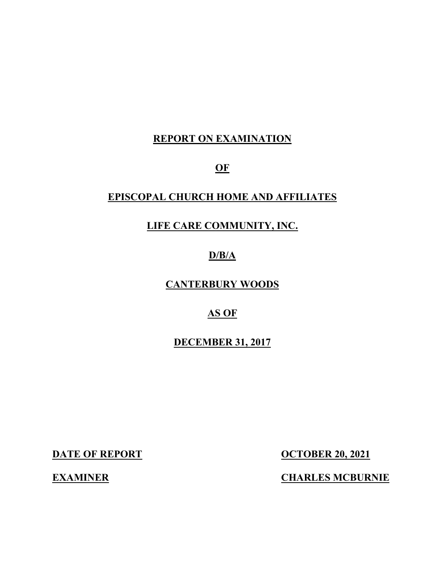## **REPORT ON EXAMINATION**

**OF**

## **EPISCOPAL CHURCH HOME AND AFFILIATES**

## **LIFE CARE COMMUNITY, INC.**

## **D/B/A**

## **CANTERBURY WOODS**

## **AS OF**

## **DECEMBER 31, 2017**

**DATE OF REPORT OCTOBER 20, 2021** 

**EXAMINER CHARLES MCBURNIE**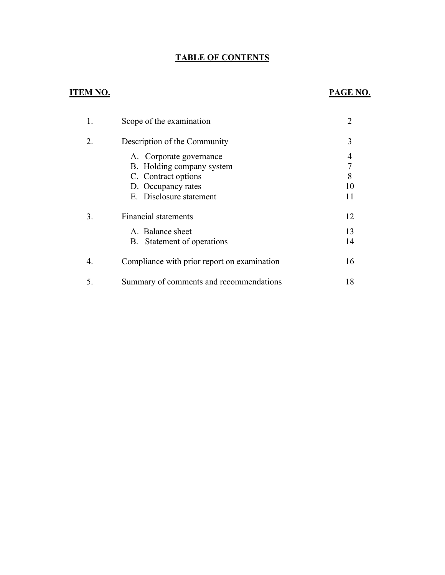## **TABLE OF CONTENTS**

## **ITEM NO. PAGE NO.**

|    | Scope of the examination                    |    |
|----|---------------------------------------------|----|
|    | Description of the Community                | 3  |
|    | A. Corporate governance                     | 4  |
|    | B. Holding company system                   | 7  |
|    | C. Contract options                         | 8  |
|    | D. Occupancy rates                          | 10 |
|    | E. Disclosure statement                     |    |
| 3. | Financial statements                        | 12 |
|    | A. Balance sheet                            | 13 |
|    | Statement of operations<br>B.               | 14 |
| 4. | Compliance with prior report on examination | 16 |
| 5. | Summary of comments and recommendations     | 18 |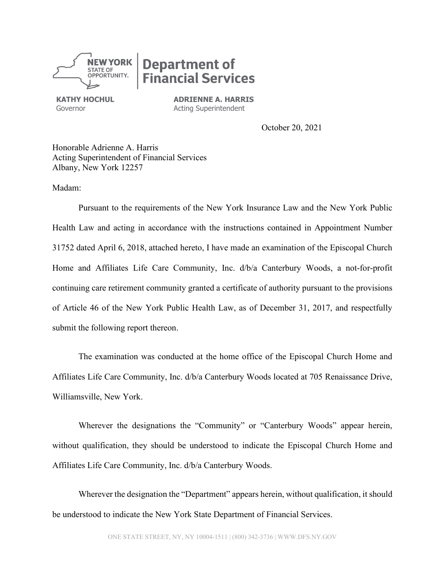

# **Department of Inancial Services**

**KATHY HOCHUL** Governor

**ADRIENNE A. HARRIS**  Acting Superintendent

October 20, 2021

Honorable Adrienne A. Harris Acting Superintendent of Financial Services Albany, New York 12257

Madam:

Pursuant to the requirements of the New York Insurance Law and the New York Public Health Law and acting in accordance with the instructions contained in Appointment Number 31752 dated April 6, 2018, attached hereto, I have made an examination of the Episcopal Church Home and Affiliates Life Care Community, Inc. d/b/a Canterbury Woods, a not-for-profit continuing care retirement community granted a certificate of authority pursuant to the provisions of Article 46 of the New York Public Health Law, as of December 31, 2017, and respectfully submit the following report thereon.

The examination was conducted at the home office of the Episcopal Church Home and Affiliates Life Care Community, Inc. d/b/a Canterbury Woods located at 705 Renaissance Drive, Williamsville, New York.

Wherever the designations the "Community" or "Canterbury Woods" appear herein, without qualification, they should be understood to indicate the Episcopal Church Home and Affiliates Life Care Community, Inc. d/b/a Canterbury Woods.

Wherever the designation the "Department" appears herein, without qualification, it should be understood to indicate the New York State Department of Financial Services.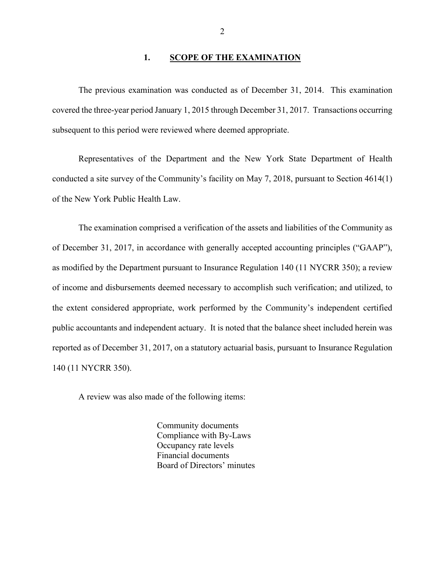#### **1. SCOPE OF THE EXAMINATION**

The previous examination was conducted as of December 31, 2014. This examination covered the three-year period January 1, 2015 through December 31, 2017. Transactions occurring subsequent to this period were reviewed where deemed appropriate.

Representatives of the Department and the New York State Department of Health conducted a site survey of the Community's facility on May 7, 2018, pursuant to Section 4614(1) of the New York Public Health Law.

The examination comprised a verification of the assets and liabilities of the Community as of December 31, 2017, in accordance with generally accepted accounting principles ("GAAP"), as modified by the Department pursuant to Insurance Regulation 140 (11 NYCRR 350); a review of income and disbursements deemed necessary to accomplish such verification; and utilized, to the extent considered appropriate, work performed by the Community's independent certified public accountants and independent actuary. It is noted that the balance sheet included herein was reported as of December 31, 2017, on a statutory actuarial basis, pursuant to Insurance Regulation 140 (11 NYCRR 350).

A review was also made of the following items:

Community documents Compliance with By-Laws Occupancy rate levels Financial documents Board of Directors' minutes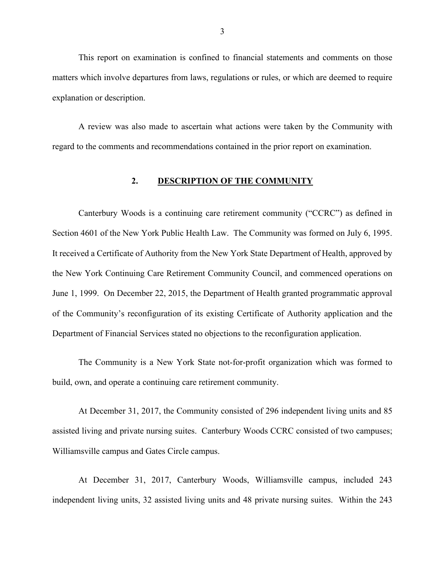This report on examination is confined to financial statements and comments on those matters which involve departures from laws, regulations or rules, or which are deemed to require explanation or description.

A review was also made to ascertain what actions were taken by the Community with regard to the comments and recommendations contained in the prior report on examination.

#### **2. DESCRIPTION OF THE COMMUNITY**

Canterbury Woods is a continuing care retirement community ("CCRC") as defined in Section 4601 of the New York Public Health Law. The Community was formed on July 6, 1995. It received a Certificate of Authority from the New York State Department of Health, approved by the New York Continuing Care Retirement Community Council, and commenced operations on June 1, 1999. On December 22, 2015, the Department of Health granted programmatic approval of the Community's reconfiguration of its existing Certificate of Authority application and the Department of Financial Services stated no objections to the reconfiguration application.

The Community is a New York State not-for-profit organization which was formed to build, own, and operate a continuing care retirement community.

At December 31, 2017, the Community consisted of 296 independent living units and 85 assisted living and private nursing suites. Canterbury Woods CCRC consisted of two campuses; Williamsville campus and Gates Circle campus.

At December 31, 2017, Canterbury Woods, Williamsville campus, included 243 independent living units, 32 assisted living units and 48 private nursing suites. Within the 243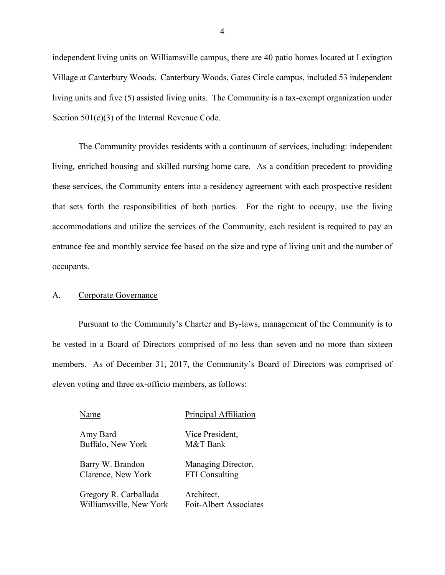independent living units on Williamsville campus, there are 40 patio homes located at Lexington Village at Canterbury Woods. Canterbury Woods, Gates Circle campus, included 53 independent living units and five (5) assisted living units. The Community is a tax-exempt organization under Section 501(c)(3) of the Internal Revenue Code.

The Community provides residents with a continuum of services, including: independent living, enriched housing and skilled nursing home care. As a condition precedent to providing these services, the Community enters into a residency agreement with each prospective resident that sets forth the responsibilities of both parties. For the right to occupy, use the living accommodations and utilize the services of the Community, each resident is required to pay an entrance fee and monthly service fee based on the size and type of living unit and the number of occupants.

#### A. Corporate Governance

Pursuant to the Community's Charter and By-laws, management of the Community is to be vested in a Board of Directors comprised of no less than seven and no more than sixteen members. As of December 31, 2017, the Community's Board of Directors was comprised of eleven voting and three ex-officio members, as follows:

| Name                    | Principal Affiliation  |
|-------------------------|------------------------|
| Amy Bard                | Vice President,        |
| Buffalo, New York       | M&T Bank               |
| Barry W. Brandon        | Managing Director,     |
| Clarence, New York      | <b>FTI</b> Consulting  |
| Gregory R. Carballada   | Architect,             |
| Williamsville, New York | Foit-Albert Associates |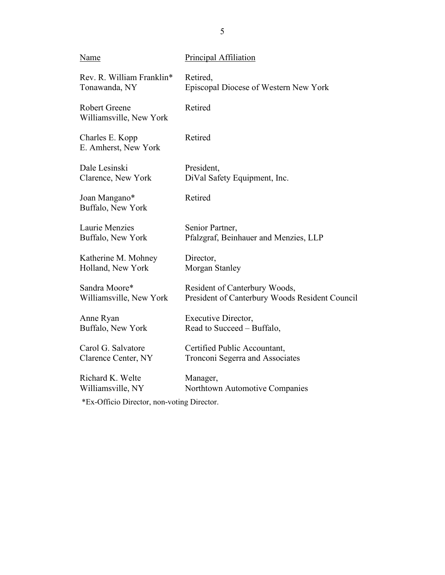| Name                                            | Principal Affiliation                          |
|-------------------------------------------------|------------------------------------------------|
| Rev. R. William Franklin*                       | Retired,                                       |
| Tonawanda, NY                                   | Episcopal Diocese of Western New York          |
| <b>Robert Greene</b><br>Williamsville, New York | Retired                                        |
| Charles E. Kopp<br>E. Amherst, New York         | Retired                                        |
| Dale Lesinski                                   | President,                                     |
| Clarence, New York                              | DiVal Safety Equipment, Inc.                   |
| Joan Mangano*<br>Buffalo, New York              | Retired                                        |
| Laurie Menzies                                  | Senior Partner,                                |
| Buffalo, New York                               | Pfalzgraf, Beinhauer and Menzies, LLP          |
| Katherine M. Mohney                             | Director,                                      |
| Holland, New York                               | Morgan Stanley                                 |
| Sandra Moore*                                   | Resident of Canterbury Woods,                  |
| Williamsville, New York                         | President of Canterbury Woods Resident Council |
| Anne Ryan                                       | Executive Director,                            |
| Buffalo, New York                               | Read to Succeed - Buffalo,                     |
| Carol G. Salvatore                              | Certified Public Accountant,                   |
| Clarence Center, NY                             | Tronconi Segerra and Associates                |
| Richard K. Welte                                | Manager,                                       |
| Williamsville, NY                               | Northtown Automotive Companies                 |
| $\mathbf{r} = \mathbf{r} \times \mathbf{r}$     |                                                |

\*Ex-Officio Director, non-voting Director.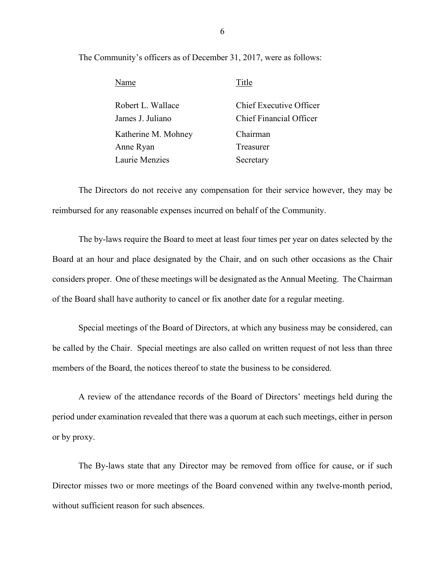The Community's officers as of December 31, 2017, were as follows:

| Name                | Title                   |
|---------------------|-------------------------|
| Robert L. Wallace   | Chief Executive Officer |
| James J. Juliano    | Chief Financial Officer |
| Katherine M. Mohney | Chairman                |
| Anne Ryan           | Treasurer               |
| Laurie Menzies      | Secretary               |

The Directors do not receive any compensation for their service however, they may be reimbursed for any reasonable expenses incurred on behalf of the Community.

The by-laws require the Board to meet at least four times per year on dates selected by the Board at an hour and place designated by the Chair, and on such other occasions as the Chair considers proper. One of these meetings will be designated as the Annual Meeting. The Chairman of the Board shall have authority to cancel or fix another date for a regular meeting.

Special meetings of the Board of Directors, at which any business may be considered, can be called by the Chair. Special meetings are also called on written request of not less than three members of the Board, the notices thereof to state the business to be considered.

A review of the attendance records of the Board of Directors' meetings held during the period under examination revealed that there was a quorum at each such meetings, either in person or by proxy.

The By-laws state that any Director may be removed from office for cause, or if such Director misses two or more meetings of the Board convened within any twelve-month period, without sufficient reason for such absences.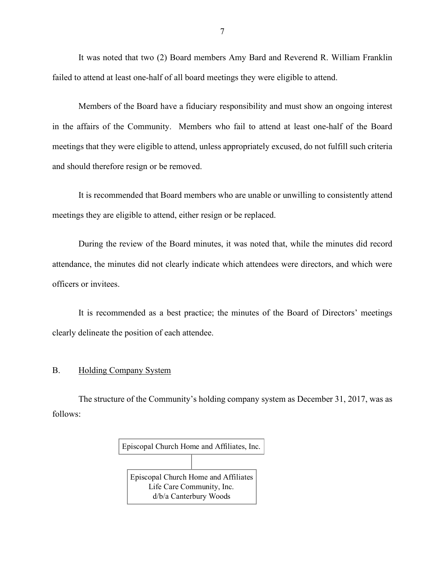It was noted that two (2) Board members Amy Bard and Reverend R. William Franklin failed to attend at least one-half of all board meetings they were eligible to attend.

Members of the Board have a fiduciary responsibility and must show an ongoing interest in the affairs of the Community. Members who fail to attend at least one-half of the Board meetings that they were eligible to attend, unless appropriately excused, do not fulfill such criteria and should therefore resign or be removed.

It is recommended that Board members who are unable or unwilling to consistently attend meetings they are eligible to attend, either resign or be replaced.

During the review of the Board minutes, it was noted that, while the minutes did record attendance, the minutes did not clearly indicate which attendees were directors, and which were officers or invitees.

It is recommended as a best practice; the minutes of the Board of Directors' meetings clearly delineate the position of each attendee.

#### B. Holding Company System

The structure of the Community's holding company system as December 31, 2017, was as follows:

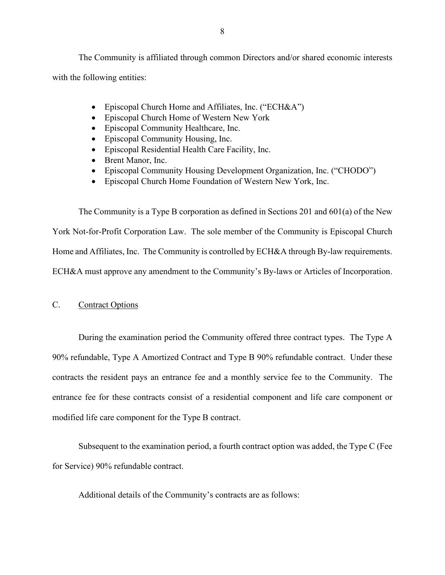The Community is affiliated through common Directors and/or shared economic interests with the following entities:

- Episcopal Church Home and Affiliates, Inc. ("ECH&A")
- Episcopal Church Home of Western New York
- Episcopal Community Healthcare, Inc.
- Episcopal Community Housing, Inc.
- Episcopal Residential Health Care Facility, Inc.
- Brent Manor, Inc.
- Episcopal Community Housing Development Organization, Inc. ("CHODO")
- Episcopal Church Home Foundation of Western New York, Inc.

The Community is a Type B corporation as defined in Sections 201 and 601(a) of the New York Not-for-Profit Corporation Law. The sole member of the Community is Episcopal Church Home and Affiliates, Inc. The Community is controlled by ECH&A through By-law requirements. ECH&A must approve any amendment to the Community's By-laws or Articles of Incorporation.

#### C. Contract Options

During the examination period the Community offered three contract types. The Type A 90% refundable, Type A Amortized Contract and Type B 90% refundable contract. Under these contracts the resident pays an entrance fee and a monthly service fee to the Community. The entrance fee for these contracts consist of a residential component and life care component or modified life care component for the Type B contract.

Subsequent to the examination period, a fourth contract option was added, the Type C (Fee for Service) 90% refundable contract.

Additional details of the Community's contracts are as follows: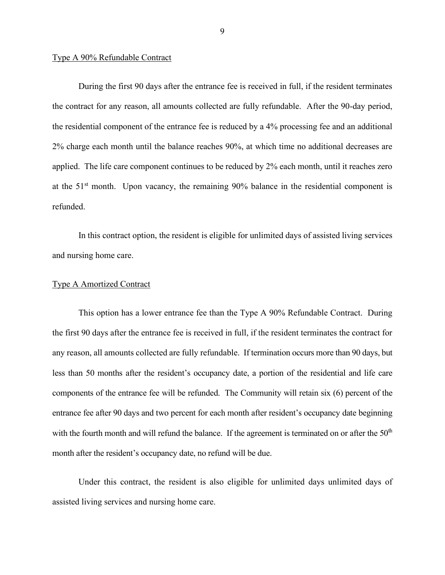#### Type A 90% Refundable Contract

During the first 90 days after the entrance fee is received in full, if the resident terminates the contract for any reason, all amounts collected are fully refundable. After the 90-day period, the residential component of the entrance fee is reduced by a 4% processing fee and an additional 2% charge each month until the balance reaches 90%, at which time no additional decreases are applied. The life care component continues to be reduced by 2% each month, until it reaches zero at the 51<sup>st</sup> month. Upon vacancy, the remaining 90% balance in the residential component is refunded.

In this contract option, the resident is eligible for unlimited days of assisted living services and nursing home care.

#### Type A Amortized Contract

This option has a lower entrance fee than the Type A 90% Refundable Contract. During the first 90 days after the entrance fee is received in full, if the resident terminates the contract for any reason, all amounts collected are fully refundable. If termination occurs more than 90 days, but less than 50 months after the resident's occupancy date, a portion of the residential and life care components of the entrance fee will be refunded. The Community will retain six (6) percent of the entrance fee after 90 days and two percent for each month after resident's occupancy date beginning with the fourth month and will refund the balance. If the agreement is terminated on or after the  $50<sup>th</sup>$ month after the resident's occupancy date, no refund will be due.

Under this contract, the resident is also eligible for unlimited days unlimited days of assisted living services and nursing home care.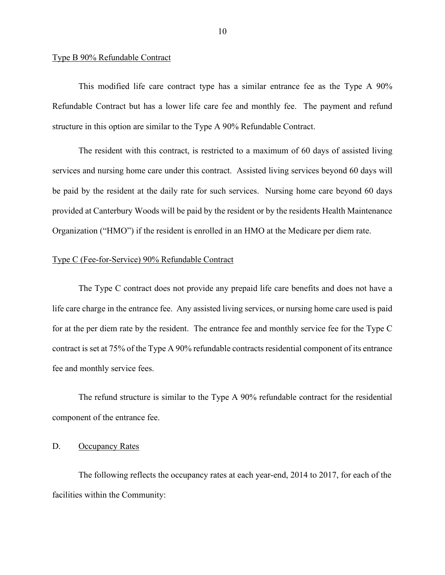#### Type B 90% Refundable Contract

This modified life care contract type has a similar entrance fee as the Type A 90% Refundable Contract but has a lower life care fee and monthly fee. The payment and refund structure in this option are similar to the Type A 90% Refundable Contract.

The resident with this contract, is restricted to a maximum of 60 days of assisted living services and nursing home care under this contract. Assisted living services beyond 60 days will be paid by the resident at the daily rate for such services. Nursing home care beyond 60 days provided at Canterbury Woods will be paid by the resident or by the residents Health Maintenance Organization ("HMO") if the resident is enrolled in an HMO at the Medicare per diem rate.

#### Type C (Fee-for-Service) 90% Refundable Contract

The Type C contract does not provide any prepaid life care benefits and does not have a life care charge in the entrance fee. Any assisted living services, or nursing home care used is paid for at the per diem rate by the resident. The entrance fee and monthly service fee for the Type C contract is set at 75% of the Type A 90% refundable contracts residential component of its entrance fee and monthly service fees.

The refund structure is similar to the Type A 90% refundable contract for the residential component of the entrance fee.

#### D. Occupancy Rates

The following reflects the occupancy rates at each year-end, 2014 to 2017, for each of the facilities within the Community: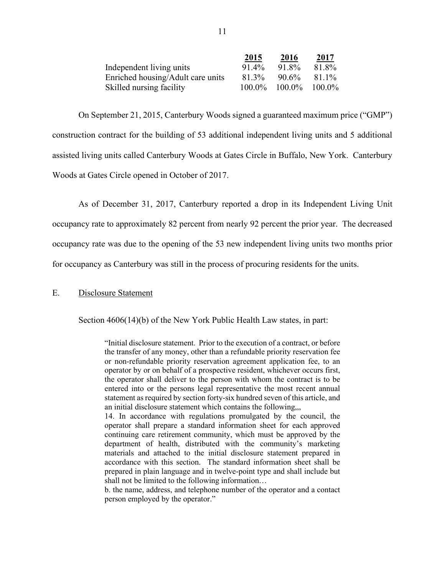|                                   | 2015      | 2016      | 2017      |
|-----------------------------------|-----------|-----------|-----------|
| Independent living units          | 91.4%     | 91.8%     | 81.8%     |
| Enriched housing/Adult care units | 81.3%     | 90.6%     | 81.1%     |
| Skilled nursing facility          | $100.0\%$ | $100.0\%$ | $100.0\%$ |

On September 21, 2015, Canterbury Woods signed a guaranteed maximum price ("GMP") construction contract for the building of 53 additional independent living units and 5 additional assisted living units called Canterbury Woods at Gates Circle in Buffalo, New York. Canterbury Woods at Gates Circle opened in October of 2017.

As of December 31, 2017, Canterbury reported a drop in its Independent Living Unit occupancy rate to approximately 82 percent from nearly 92 percent the prior year. The decreased occupancy rate was due to the opening of the 53 new independent living units two months prior for occupancy as Canterbury was still in the process of procuring residents for the units.

#### E. Disclosure Statement

Section 4606(14)(b) of the New York Public Health Law states, in part:

"Initial disclosure statement. Prior to the execution of a contract, or before the transfer of any money, other than a refundable priority reservation fee or non-refundable priority reservation agreement application fee, to an operator by or on behalf of a prospective resident, whichever occurs first, the operator shall deliver to the person with whom the contract is to be entered into or the persons legal representative the most recent annual statement as required by section forty-six hundred seven of this article, and an initial disclosure statement which contains the following,,,

14. In accordance with regulations promulgated by the council, the operator shall prepare a standard information sheet for each approved continuing care retirement community, which must be approved by the department of health, distributed with the community's marketing materials and attached to the initial disclosure statement prepared in accordance with this section. The standard information sheet shall be prepared in plain language and in twelve-point type and shall include but shall not be limited to the following information…

b. the name, address, and telephone number of the operator and a contact person employed by the operator."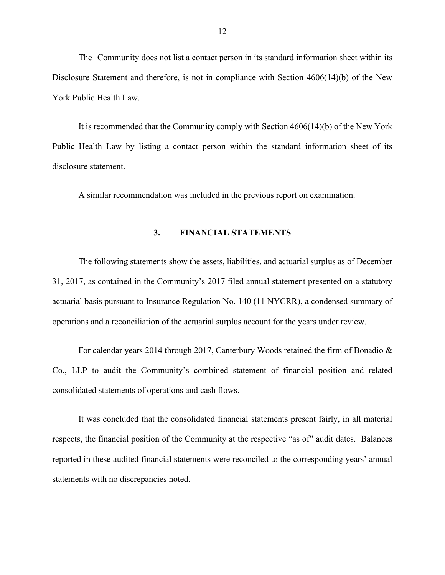The Community does not list a contact person in its standard information sheet within its Disclosure Statement and therefore, is not in compliance with Section 4606(14)(b) of the New York Public Health Law.

It is recommended that the Community comply with Section 4606(14)(b) of the New York Public Health Law by listing a contact person within the standard information sheet of its disclosure statement.

A similar recommendation was included in the previous report on examination.

#### **3. FINANCIAL STATEMENTS**

The following statements show the assets, liabilities, and actuarial surplus as of December 31, 2017, as contained in the Community's 2017 filed annual statement presented on a statutory actuarial basis pursuant to Insurance Regulation No. 140 (11 NYCRR), a condensed summary of operations and a reconciliation of the actuarial surplus account for the years under review.

For calendar years 2014 through 2017, Canterbury Woods retained the firm of Bonadio & Co., LLP to audit the Community's combined statement of financial position and related consolidated statements of operations and cash flows.

It was concluded that the consolidated financial statements present fairly, in all material respects, the financial position of the Community at the respective "as of" audit dates. Balances reported in these audited financial statements were reconciled to the corresponding years' annual statements with no discrepancies noted.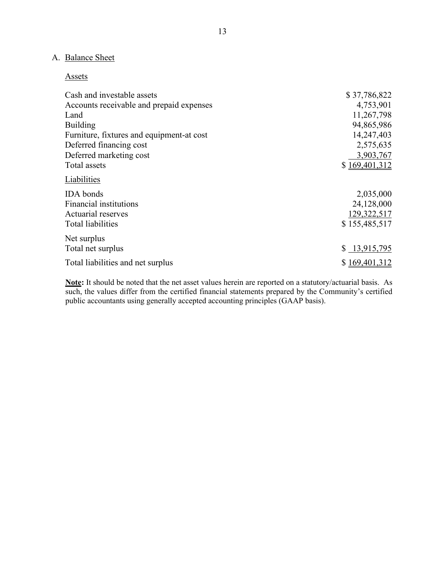## A. Balance Sheet

#### **Assets**

| Cash and investable assets                | \$37,786,822  |
|-------------------------------------------|---------------|
| Accounts receivable and prepaid expenses  | 4,753,901     |
| Land                                      | 11,267,798    |
| <b>Building</b>                           | 94,865,986    |
| Furniture, fixtures and equipment-at cost | 14,247,403    |
| Deferred financing cost                   | 2,575,635     |
| Deferred marketing cost                   | 3,903,767     |
| Total assets                              | \$169,401,312 |
| Liabilities                               |               |
| <b>IDA</b> bonds                          | 2,035,000     |
| Financial institutions                    | 24,128,000    |
| Actuarial reserves                        | 129,322,517   |
| <b>Total liabilities</b>                  | \$155,485,517 |
| Net surplus                               |               |
| Total net surplus                         | \$13,915,795  |
| Total liabilities and net surplus         | \$169,401,312 |
|                                           |               |

**Note:** It should be noted that the net asset values herein are reported on a statutory/actuarial basis. As such, the values differ from the certified financial statements prepared by the Community's certified public accountants using generally accepted accounting principles (GAAP basis).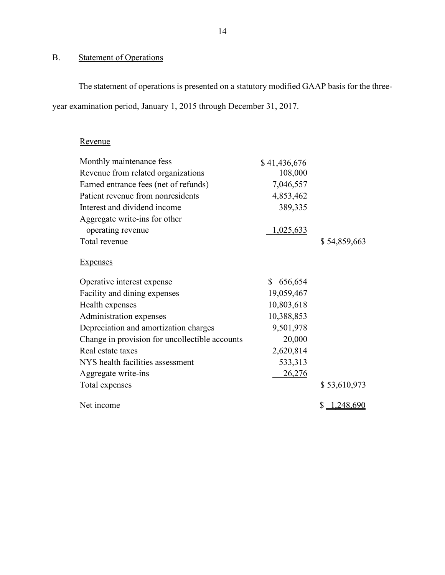## B. Statement of Operations

The statement of operations is presented on a statutory modified GAAP basis for the threeyear examination period, January 1, 2015 through December 31, 2017.

## Revenue

| Monthly maintenance fess                       | \$41,436,676  |               |
|------------------------------------------------|---------------|---------------|
| Revenue from related organizations             | 108,000       |               |
| Earned entrance fees (net of refunds)          | 7,046,557     |               |
| Patient revenue from nonresidents              | 4,853,462     |               |
| Interest and dividend income                   | 389,335       |               |
| Aggregate write-ins for other                  |               |               |
| operating revenue                              | 1,025,633     |               |
| Total revenue                                  |               | \$54,859,663  |
| <b>Expenses</b>                                |               |               |
| Operative interest expense                     | \$<br>656,654 |               |
| Facility and dining expenses                   | 19,059,467    |               |
| Health expenses                                | 10,803,618    |               |
| Administration expenses                        | 10,388,853    |               |
| Depreciation and amortization charges          | 9,501,978     |               |
| Change in provision for uncollectible accounts | 20,000        |               |
| Real estate taxes                              | 2,620,814     |               |
| NYS health facilities assessment               | 533,313       |               |
| Aggregate write-ins                            | 26,276        |               |
| Total expenses                                 |               | \$ 53,610,973 |
| Net income                                     |               | \$1,248,690   |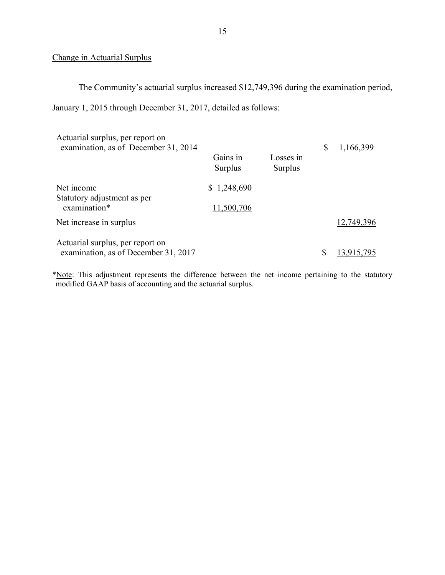### Change in Actuarial Surplus

The Community's actuarial surplus increased \$12,749,396 during the examination period,

January 1, 2015 through December 31, 2017, detailed as follows:

| Actuarial surplus, per report on<br>examination, as of December 31, 2014 | Gains in<br>Surplus | Losses in<br>Surplus | \$ | 1,166,399  |
|--------------------------------------------------------------------------|---------------------|----------------------|----|------------|
| Net income<br>Statutory adjustment as per                                | \$1,248,690         |                      |    |            |
| examination*                                                             | 11,500,706          |                      |    |            |
| Net increase in surplus                                                  |                     |                      |    | 12,749,396 |
| Actuarial surplus, per report on<br>examination, as of December 31, 2017 |                     |                      | S  |            |

\*Note: This adjustment represents the difference between the net income pertaining to the statutory modified GAAP basis of accounting and the actuarial surplus.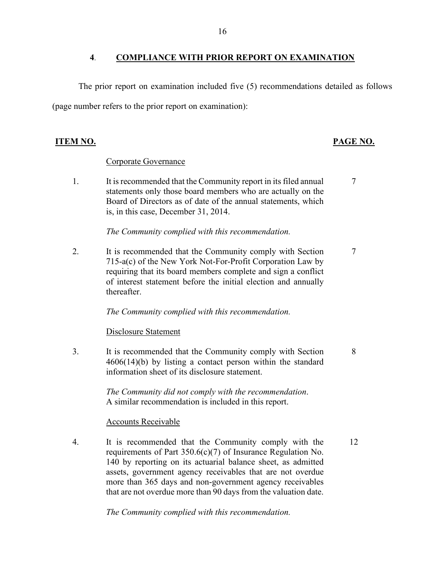#### **4**. **COMPLIANCE WITH PRIOR REPORT ON EXAMINATION**

The prior report on examination included five (5) recommendations detailed as follows (page number refers to the prior report on examination):

#### **ITEM NO. PAGE NO.**

7

8

12

#### Corporate Governance

1. It is recommended that the Community report in its filed annual statements only those board members who are actually on the Board of Directors as of date of the annual statements, which is, in this case, December 31, 2014.

*The Community complied with this recommendation.*

2. It is recommended that the Community comply with Section 715-a(c) of the New York Not-For-Profit Corporation Law by requiring that its board members complete and sign a conflict of interest statement before the initial election and annually thereafter. 7

*The Community complied with this recommendation.*

Disclosure Statement

3. It is recommended that the Community comply with Section 4606(14)(b) by listing a contact person within the standard information sheet of its disclosure statement.

> *The Community did not comply with the recommendation*. A similar recommendation is included in this report.

### Accounts Receivable

4. It is recommended that the Community comply with the requirements of Part 350.6(c)(7) of Insurance Regulation No. 140 by reporting on its actuarial balance sheet, as admitted assets, government agency receivables that are not overdue more than 365 days and non-government agency receivables that are not overdue more than 90 days from the valuation date.

*The Community complied with this recommendation.*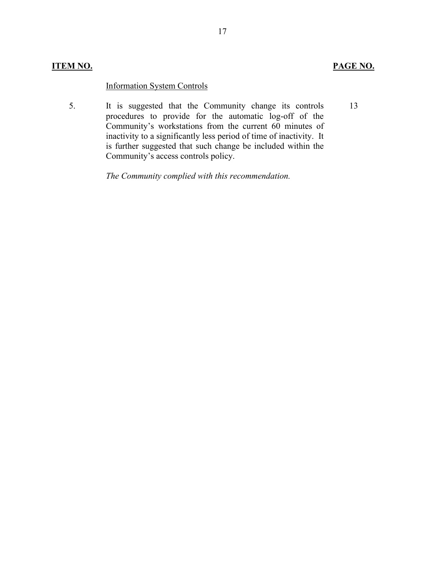### **ITEM NO. PAGE NO.**

13

### Information System Controls

5. It is suggested that the Community change its controls procedures to provide for the automatic log-off of the Community's workstations from the current 60 minutes of inactivity to a significantly less period of time of inactivity. It is further suggested that such change be included within the Community's access controls policy.

*The Community complied with this recommendation.*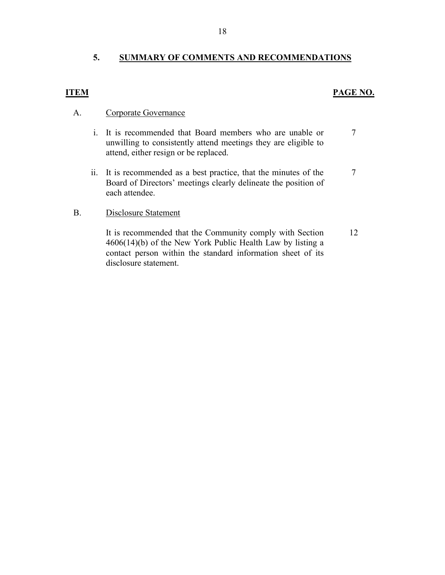#### **5. SUMMARY OF COMMENTS AND RECOMMENDATIONS**

#### **ITEM PAGE NO.**

7

#### A. Corporate Governance

- i. It is recommended that Board members who are unable or unwilling to consistently attend meetings they are eligible to attend, either resign or be replaced.
- ii. It is recommended as a best practice, that the minutes of the Board of Directors' meetings clearly delineate the position of each attendee. 7

#### B. Disclosure Statement

It is recommended that the Community comply with Section 4606(14)(b) of the New York Public Health Law by listing a contact person within the standard information sheet of its disclosure statement. 12

18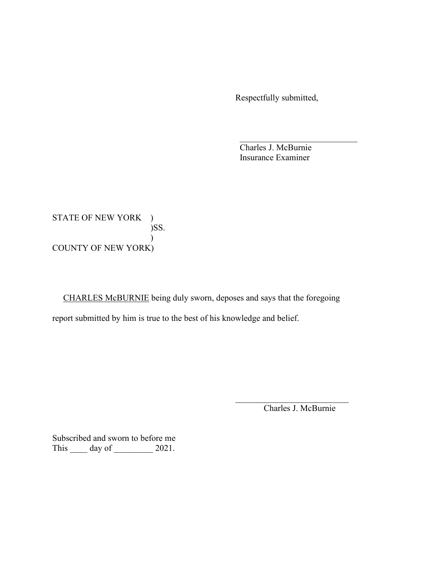Respectfully submitted,

Charles J. McBurnie Insurance Examiner

STATE OF NEW YORK ) )SS.  $\lambda$ COUNTY OF NEW YORK)

 CHARLES McBURNIE being duly sworn, deposes and says that the foregoing report submitted by him is true to the best of his knowledge and belief.

 $\mathcal{L}_\mathcal{L}$  , which is a set of the set of the set of the set of the set of the set of the set of the set of the set of the set of the set of the set of the set of the set of the set of the set of the set of the set of

 $\mathcal{L}_\text{max}$  , and the contract of the contract of the contract of the contract of the contract of the contract of the contract of the contract of the contract of the contract of the contract of the contract of the contr

Charles J. McBurnie

Subscribed and sworn to before me This \_\_\_\_\_ day of \_\_\_\_\_\_\_\_\_ 2021.